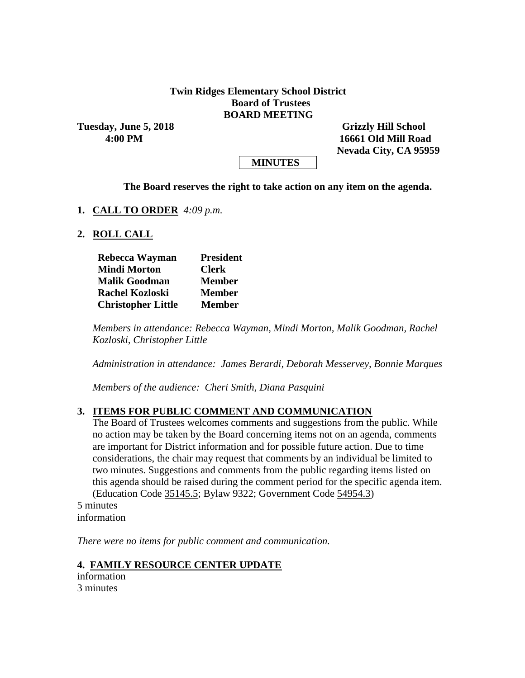#### **Twin Ridges Elementary School District Board of Trustees BOARD MEETING**

Tuesday, June 5, 2018 **Grizzly Hill School** 

 **4:00 PM 16661 Old Mill Road Nevada City, CA 95959**

## **MINUTES**

#### **The Board reserves the right to take action on any item on the agenda.**

#### **1. CALL TO ORDER** *4:09 p.m.*

#### **2. ROLL CALL**

| Rebecca Wayman            | <b>President</b> |  |  |  |
|---------------------------|------------------|--|--|--|
| <b>Mindi Morton</b>       | <b>Clerk</b>     |  |  |  |
| <b>Malik Goodman</b>      | <b>Member</b>    |  |  |  |
| <b>Rachel Kozloski</b>    | <b>Member</b>    |  |  |  |
| <b>Christopher Little</b> | <b>Member</b>    |  |  |  |

*Members in attendance: Rebecca Wayman, Mindi Morton, Malik Goodman, Rachel Kozloski, Christopher Little*

*Administration in attendance: James Berardi, Deborah Messervey, Bonnie Marques*

*Members of the audience: Cheri Smith, Diana Pasquini*

#### **3. ITEMS FOR PUBLIC COMMENT AND COMMUNICATION**

The Board of Trustees welcomes comments and suggestions from the public. While no action may be taken by the Board concerning items not on an agenda, comments are important for District information and for possible future action. Due to time considerations, the chair may request that comments by an individual be limited to two minutes. Suggestions and comments from the public regarding items listed on this agenda should be raised during the comment period for the specific agenda item. (Education Code 35145.5; Bylaw 9322; Government Code 54954.3)

5 minutes information

*There were no items for public comment and communication.*

#### **4. FAMILY RESOURCE CENTER UPDATE**

information 3 minutes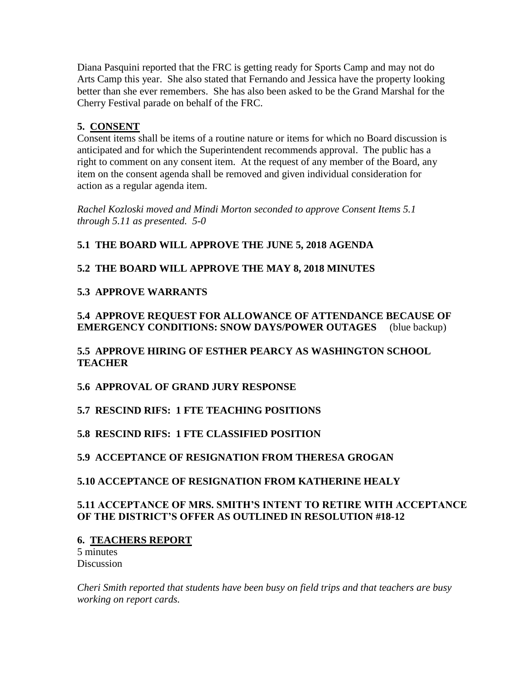Diana Pasquini reported that the FRC is getting ready for Sports Camp and may not do Arts Camp this year. She also stated that Fernando and Jessica have the property looking better than she ever remembers. She has also been asked to be the Grand Marshal for the Cherry Festival parade on behalf of the FRC.

# **5. CONSENT**

Consent items shall be items of a routine nature or items for which no Board discussion is anticipated and for which the Superintendent recommends approval. The public has a right to comment on any consent item. At the request of any member of the Board, any item on the consent agenda shall be removed and given individual consideration for action as a regular agenda item.

*Rachel Kozloski moved and Mindi Morton seconded to approve Consent Items 5.1 through 5.11 as presented. 5-0*

## **5.1 THE BOARD WILL APPROVE THE JUNE 5, 2018 AGENDA**

## **5.2 THE BOARD WILL APPROVE THE MAY 8, 2018 MINUTES**

## **5.3 APPROVE WARRANTS**

## **5.4 APPROVE REQUEST FOR ALLOWANCE OF ATTENDANCE BECAUSE OF EMERGENCY CONDITIONS: SNOW DAYS/POWER OUTAGES** (blue backup)

## **5.5 APPROVE HIRING OF ESTHER PEARCY AS WASHINGTON SCHOOL TEACHER**

**5.6 APPROVAL OF GRAND JURY RESPONSE**

# **5.7 RESCIND RIFS: 1 FTE TEACHING POSITIONS**

# **5.8 RESCIND RIFS: 1 FTE CLASSIFIED POSITION**

## **5.9 ACCEPTANCE OF RESIGNATION FROM THERESA GROGAN**

## **5.10 ACCEPTANCE OF RESIGNATION FROM KATHERINE HEALY**

## **5.11 ACCEPTANCE OF MRS. SMITH'S INTENT TO RETIRE WITH ACCEPTANCE OF THE DISTRICT'S OFFER AS OUTLINED IN RESOLUTION #18-12**

## **6. TEACHERS REPORT**

5 minutes **Discussion** 

*Cheri Smith reported that students have been busy on field trips and that teachers are busy working on report cards.*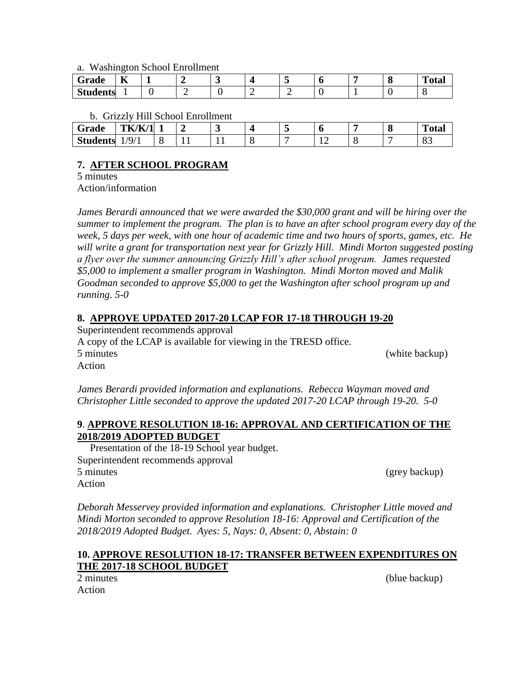a. Washington School Enrollment

| $\sim$<br>Grade | $ -$<br>n |  |  |  | . . | m<br>`otal |
|-----------------|-----------|--|--|--|-----|------------|
| <b>Students</b> |           |  |  |  |     |            |

b. Grizzly Hill School Enrollment

| $-$<br>Grade    | TK/K/1                       |  | $\bullet$ | $\overline{\phantom{a}}$ | Ð |  | $\mathbf{r}$<br>`otal |
|-----------------|------------------------------|--|-----------|--------------------------|---|--|-----------------------|
| <b>Students</b> | $\sqrt{2}$<br>$\mathbf{u}_I$ |  |           |                          |   |  | ບຸ                    |

# **7. AFTER SCHOOL PROGRAM**

5 minutes

Action/information

*James Berardi announced that we were awarded the \$30,000 grant and will be hiring over the summer to implement the program. The plan is to have an after school program every day of the week, 5 days per week, with one hour of academic time and two hours of sports, games, etc. He will write a grant for transportation next year for Grizzly Hill. Mindi Morton suggested posting a flyer over the summer announcing Grizzly Hill's after school program. James requested \$5,000 to implement a smaller program in Washington. Mindi Morton moved and Malik Goodman seconded to approve \$5,000 to get the Washington after school program up and running. 5-0*

## **8. APPROVE UPDATED 2017-20 LCAP FOR 17-18 THROUGH 19-20**

Superintendent recommends approval A copy of the LCAP is available for viewing in the TRESD office. 5 minutes (white backup) Action

*James Berardi provided information and explanations. Rebecca Wayman moved and Christopher Little seconded to approve the updated 2017-20 LCAP through 19-20. 5-0*

## **9**. **APPROVE RESOLUTION 18-16: APPROVAL AND CERTIFICATION OF THE 2018/2019 ADOPTED BUDGET**

Presentation of the 18-19 School year budget. Superintendent recommends approval 5 minutes (grey backup) Action

*Deborah Messervey provided information and explanations. Christopher Little moved and Mindi Morton seconded to approve Resolution 18-16: Approval and Certification of the 2018/2019 Adopted Budget. Ayes: 5, Nays: 0, Absent: 0, Abstain: 0*

## **10. APPROVE RESOLUTION 18-17: TRANSFER BETWEEN EXPENDITURES ON THE 2017-18 SCHOOL BUDGET**

Action

2 minutes (blue backup)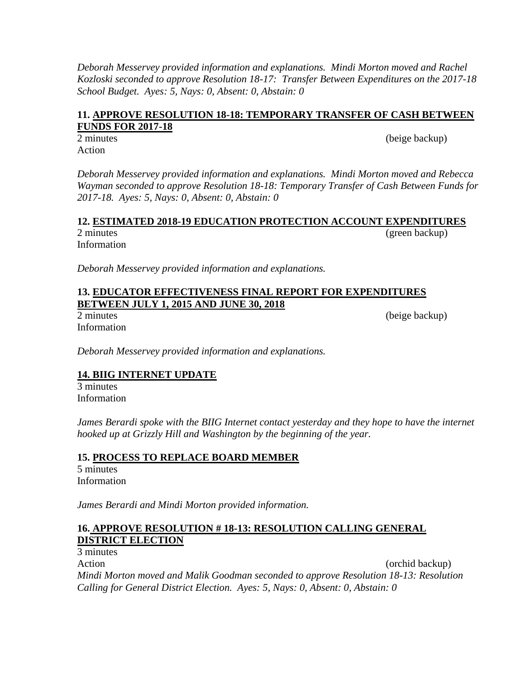*Deborah Messervey provided information and explanations. Mindi Morton moved and Rachel Kozloski seconded to approve Resolution 18-17: Transfer Between Expenditures on the 2017-18 School Budget. Ayes: 5, Nays: 0, Absent: 0, Abstain: 0*

## **11. APPROVE RESOLUTION 18-18: TEMPORARY TRANSFER OF CASH BETWEEN FUNDS FOR 2017-18**

2 minutes (beige backup) Action

*Deborah Messervey provided information and explanations. Mindi Morton moved and Rebecca Wayman seconded to approve Resolution 18-18: Temporary Transfer of Cash Between Funds for 2017-18. Ayes: 5, Nays: 0, Absent: 0, Abstain: 0*

#### **12. ESTIMATED 2018-19 EDUCATION PROTECTION ACCOUNT EXPENDITURES**  2 minutes (green backup)

Information

*Deborah Messervey provided information and explanations.*

## **13. EDUCATOR EFFECTIVENESS FINAL REPORT FOR EXPENDITURES BETWEEN JULY 1, 2015 AND JUNE 30, 2018**

Information

2 minutes (beige backup)

*Deborah Messervey provided information and explanations.*

# **14. BIIG INTERNET UPDATE**

3 minutes Information

*James Berardi spoke with the BIIG Internet contact yesterday and they hope to have the internet hooked up at Grizzly Hill and Washington by the beginning of the year.*

## **15. PROCESS TO REPLACE BOARD MEMBER**

5 minutes Information

*James Berardi and Mindi Morton provided information.*

## **16. APPROVE RESOLUTION # 18-13: RESOLUTION CALLING GENERAL DISTRICT ELECTION**

3 minutes Action (orchid backup)  $\sim$  (orchid backup) *Mindi Morton moved and Malik Goodman seconded to approve Resolution 18-13: Resolution Calling for General District Election. Ayes: 5, Nays: 0, Absent: 0, Abstain: 0*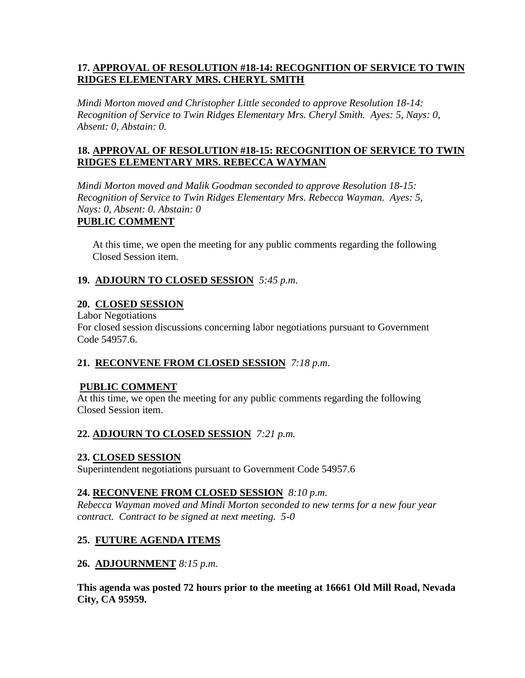## **17. APPROVAL OF RESOLUTION #18-14: RECOGNITION OF SERVICE TO TWIN RIDGES ELEMENTARY MRS. CHERYL SMITH**

*Mindi Morton moved and Christopher Little seconded to approve Resolution 18-14: Recognition of Service to Twin Ridges Elementary Mrs. Cheryl Smith. Ayes: 5, Nays: 0, Absent: 0, Abstain: 0.*

## **18. APPROVAL OF RESOLUTION #18-15: RECOGNITION OF SERVICE TO TWIN RIDGES ELEMENTARY MRS. REBECCA WAYMAN**

*Mindi Morton moved and Malik Goodman seconded to approve Resolution 18-15: Recognition of Service to Twin Ridges Elementary Mrs. Rebecca Wayman. Ayes: 5, Nays: 0, Absent: 0. Abstain: 0*

# **PUBLIC COMMENT**

At this time, we open the meeting for any public comments regarding the following Closed Session item.

# **19. ADJOURN TO CLOSED SESSION** *5:45 p.m.*

## **20. CLOSED SESSION**

Labor Negotiations For closed session discussions concerning labor negotiations pursuant to Government Code 54957.6.

# **21. RECONVENE FROM CLOSED SESSION** *7:18 p.m.*

## **PUBLIC COMMENT**

At this time, we open the meeting for any public comments regarding the following Closed Session item.

# **22. ADJOURN TO CLOSED SESSION** *7:21 p.m.*

## **23. CLOSED SESSION**

Superintendent negotiations pursuant to Government Code 54957.6

## **24. RECONVENE FROM CLOSED SESSION** *8:10 p.m.*

*Rebecca Wayman moved and Mindi Morton seconded to new terms for a new four year contract. Contract to be signed at next meeting. 5-0*

# **25. FUTURE AGENDA ITEMS**

## **26. ADJOURNMENT** *8:15 p.m.*

**This agenda was posted 72 hours prior to the meeting at 16661 Old Mill Road, Nevada City, CA 95959.**